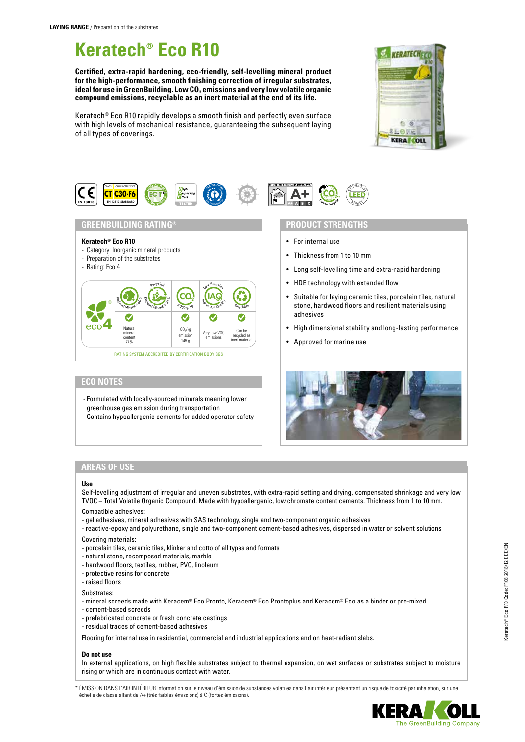# **Keratech® Eco R10**

**Certified, extra-rapid hardening, eco-friendly, self-levelling mineral product for the high-performance, smooth finishing correction of irregular substrates,**  ideal for use in GreenBuilding. Low CO<sub>2</sub> emissions and very low volatile organic **compound emissions, recyclable as an inert material at the end of its life.**

Keratech® Eco R10 rapidly develops a smooth finish and perfectly even surface with high levels of mechanical resistance, guaranteeing the subsequent laying of all types of coverings.





### **GREENBUILDING RATING®**

#### **Keratech® Eco R10**

- Category: Inorganic mineral products
- Preparation of the substrates
- Rating: Eco 4



# **ECO NOTES**

- Formulated with locally-sourced minerals meaning lower greenhouse gas emission during transportation - Contains hypoallergenic cements for added operator safety

# N S

### **PRODUCT STRENGTHS**

- For internal use
- Thickness from 1 to 10 mm
- Long self-levelling time and extra-rapid hardening
- HDE technology with extended flow
- Suitable for laying ceramic tiles, porcelain tiles, natural stone, hardwood floors and resilient materials using adhesives
- High dimensional stability and long-lasting performance
- Approved for marine use



# **AREAS OF USE**

#### **Use**

Self-levelling adjustment of irregular and uneven substrates, with extra-rapid setting and drying, compensated shrinkage and very low TVOC – Total Volatile Organic Compound. Made with hypoallergenic, low chromate content cements. Thickness from 1 to 10 mm. Compatible adhesives:

- gel adhesives, mineral adhesives with SAS technology, single and two-component organic adhesives
- reactive-epoxy and polyurethane, single and two-component cement-based adhesives, dispersed in water or solvent solutions
- Covering materials:
- porcelain tiles, ceramic tiles, klinker and cotto of all types and formats
- natural stone, recomposed materials, marble
- hardwood floors, textiles, rubber, PVC, linoleum
- protective resins for concrete
- raised floors

Substrates:

- mineral screeds made with Keracem® Eco Pronto, Keracem® Eco Prontoplus and Keracem® Eco as a binder or pre-mixed
- cement-based screeds
- prefabricated concrete or fresh concrete castings
- residual traces of cement-based adhesives

Flooring for internal use in residential, commercial and industrial applications and on heat-radiant slabs.

#### **Do not use**

In external applications, on high flexible substrates subject to thermal expansion, on wet surfaces or substrates subject to moisture rising or which are in continuous contact with water.

\* ÉMISSION DANS L'AIR INTÉRIEUR Information sur le niveau d'émission de substances volatiles dans l'air intérieur, présentant un risque de toxicité par inhalation, sur une échelle de classe allant de A+ (très faibles émissions) à C (fortes émissions).

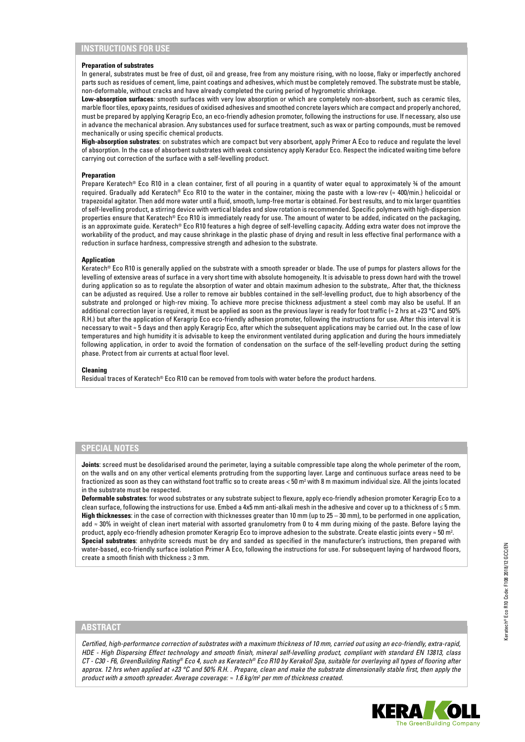## **INSTRUCTIONS FOR USE**

#### **Preparation of substrates**

In general, substrates must be free of dust, oil and grease, free from any moisture rising, with no loose, flaky or imperfectly anchored parts such as residues of cement, lime, paint coatings and adhesives, which must be completely removed. The substrate must be stable, non-deformable, without cracks and have already completed the curing period of hygrometric shrinkage.

**Low-absorption surfaces***:* smooth surfaces with very low absorption or which are completely non-absorbent, such as ceramic tiles, marble floor tiles, epoxy paints, residues of oxidised adhesives and smoothed concrete layers which are compact and properly anchored, must be prepared by applying Keragrip Eco, an eco-friendly adhesion promoter, following the instructions for use. If necessary, also use in advance the mechanical abrasion. Any substances used for surface treatment, such as wax or parting compounds, must be removed mechanically or using specific chemical products.

**High-absorption substrates**: on substrates which are compact but very absorbent, apply Primer A Eco to reduce and regulate the level of absorption. In the case of absorbent substrates with weak consistency apply Keradur Eco. Respect the indicated waiting time before carrying out correction of the surface with a self-levelling product.

#### **Preparation**

Prepare Keratech® Eco R10 in a clean container, first of all pouring in a quantity of water equal to approximately ¾ of the amount required. Gradually add Keratech® Eco R10 to the water in the container, mixing the paste with a low-rev (≈ 400/min.) helicoidal or trapezoidal agitator. Then add more water until a fluid, smooth, lump-free mortar is obtained. For best results, and to mix larger quantities of self-levelling product, a stirring device with vertical blades and slow rotation is recommended. Specific polymers with high-dispersion properties ensure that Keratech® Eco R10 is immediately ready for use. The amount of water to be added, indicated on the packaging, is an approximate guide. Keratech® Eco R10 features a high degree of self-levelling capacity. Adding extra water does not improve the workability of the product, and may cause shrinkage in the plastic phase of drying and result in less effective final performance with a reduction in surface hardness, compressive strength and adhesion to the substrate.

#### **Application**

Keratech® Eco R10 is generally applied on the substrate with a smooth spreader or blade. The use of pumps for plasters allows for the levelling of extensive areas of surface in a very short time with absolute homogeneity. It is advisable to press down hard with the trowel during application so as to regulate the absorption of water and obtain maximum adhesion to the substrate,. After that, the thickness can be adjusted as required. Use a roller to remove air bubbles contained in the self-levelling product, due to high absorbency of the substrate and prolonged or high-rev mixing. To achieve more precise thickness adjustment a steel comb may also be useful. If an additional correction layer is required, it must be applied as soon as the previous layer is ready for foot traffic ( $\approx$  2 hrs at +23 °C and 50% R.H.) but after the application of Keragrip Eco eco-friendly adhesion promoter, following the instructions for use. After this interval it is necessary to wait ≈ 5 days and then apply Keragrip Eco, after which the subsequent applications may be carried out. In the case of low temperatures and high humidity it is advisable to keep the environment ventilated during application and during the hours immediately following application, in order to avoid the formation of condensation on the surface of the self-levelling product during the setting phase. Protect from air currents at actual floor level.

#### **Cleaning**

Residual traces of Keratech® Eco R10 can be removed from tools with water before the product hardens.

#### **SPECIAL NOTES**

**Joints**: screed must be desolidarised around the perimeter, laying a suitable compressible tape along the whole perimeter of the room, on the walls and on any other vertical elements protruding from the supporting layer. Large and continuous surface areas need to be fractionized as soon as they can withstand foot traffic so to create areas < 50 m² with 8 m maximum individual size. All the joints located in the substrate must be respected.

**Deformable substrates**: for wood substrates or any substrate subject to flexure, apply eco-friendly adhesion promoter Keragrip Eco to a clean surface, following the instructions for use. Embed a 4x5 mm anti-alkali mesh in the adhesive and cover up to a thickness of ≤ 5 mm. **High thicknesses**: in the case of correction with thicknesses greater than 10 mm (up to 25 – 30 mm), to be performed in one application, add ≈ 30% in weight of clean inert material with assorted granulometry from 0 to 4 mm during mixing of the paste. Before laying the product, apply eco-friendly adhesion promoter Keragrip Eco to improve adhesion to the substrate. Create elastic joints every ≈ 50 m². **Special substrates**: anhydrite screeds must be dry and sanded as specified in the manufacturer's instructions, then prepared with water-based, eco-friendly surface isolation Primer A Eco, following the instructions for use. For subsequent laying of hardwood floors, create a smooth finish with thickness ≥ 3 mm.

## **ABSTRACT**

*Certified, high-performance correction of substrates with a maximum thickness of 10 mm, carried out using an eco-friendly, extra-rapid, HDE - High Dispersing Effect technology and smooth finish, mineral self-levelling product, compliant with standard EN 13813, class CT - C30 - F6, GreenBuilding Rating® Eco 4, such as Keratech® Eco R10 by Kerakoll Spa, suitable for overlaying all types of flooring after approx. 12 hrs when applied at +23 °C and 50% R.H. . Prepare, clean and make the substrate dimensionally stable first, then apply the product with a smooth spreader. Average coverage: ≈ 1.6 kg/m2 per mm of thickness created.*